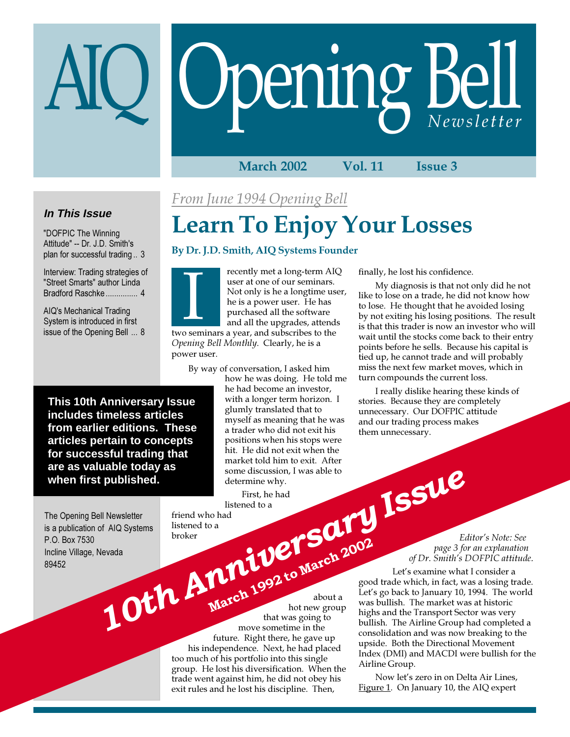# Opening Bell

#### March 2002 Vol. 11 Issue 3

## **In This Issue**

"DOFPIC The Winning Attitude" -- Dr. J.D. Smith's plan for successful trading .. 3

Interview: Trading strategies of "Street Smarts" author Linda Bradford Raschke ............... 4

AIQ's Mechanical Trading System is introduced in first issue of the Opening Bell ... 8 From June 1994 Opening Bell

# Learn To Enjoy Your Losses

#### By Dr. J.D. Smith, AIQ Systems Founder

recently met a long-term AIQ user at one of our seminars. Not only is he a longtime user, he is a power user. He has purchased all the software and all the upgrades, attends Freenty met a long-term Alustration user at one of our seminars.<br>Not only is he a longtime us<br>he is a power user. He has<br>purchased all the software<br>and all the upgrades, attend<br>two seminars a year, and subscribes to the

Opening Bell Monthly. Clearly, he is a power user.

By way of conversation, I asked him

how he was doing. He told me he had become an investor, with a longer term horizon. I glumly translated that to myself as meaning that he was a trader who did not exit his positions when his stops were hit. He did not exit when the market told him to exit. After market told him to exit. After some discussion, I was able to determine why.

First, he had listened to a

friend who had listened to a broker

about a hot new group that was going to move sometime in the future. Right there, he gave up his independence. Next, he had placed too much of his portfolio into this single group. He lost his diversification. When the trade went against him, he did not obey his exit rules and he lost his discipline. Then,

finally, he lost his confidence.

My diagnosis is that not only did he not like to lose on a trade, he did not know how to lose. He thought that he avoided losing by not exiting his losing positions. The result is that this trader is now an investor who will wait until the stocks come back to their entry points before he sells. Because his capital is tied up, he cannot trade and will probably miss the next few market moves, which in turn compounds the current loss.

I really dislike hearing these kinds of stories. Because they are completely unnecessary. Our DOFPIC attitude and our trading process makes them unnecessary.

> Editor's Note: See page 3 for an explanation of Dr. Smith's DOFPIC attitude.

Let's examine what I consider a good trade which, in fact, was a losing trade. Let's go back to January 10, 1994. The world was bullish. The market was at historic highs and the Transport Sector was very bullish. The Airline Group had completed a consolidation and was now breaking to the upside. Both the Directional Movement Index (DMI) and MACDI were bullish for the Airline Group.

Now let's zero in on Delta Air Lines, Figure 1. On January 10, the AIQ expert

**This 10th Anniversary Issue includes timeless articles from earlier editions. These articles pertain to concepts for successful trading that are as valuable today as when first published.**

The Opening Bell Newsletter is a publication of AIQ Systems P.O. Box 7530 Incline Village, Nevada 89452

First, he had<br>
Ill Newsletter<br>
Some discussion, I was able to<br>
Issue determine why.<br>
Issues about a listened to a<br>
livexda<br>
Some discussion, I was able to<br>
Issue of Dr. Smith's I<br>
Prope about a listened to a<br>
livex sponge

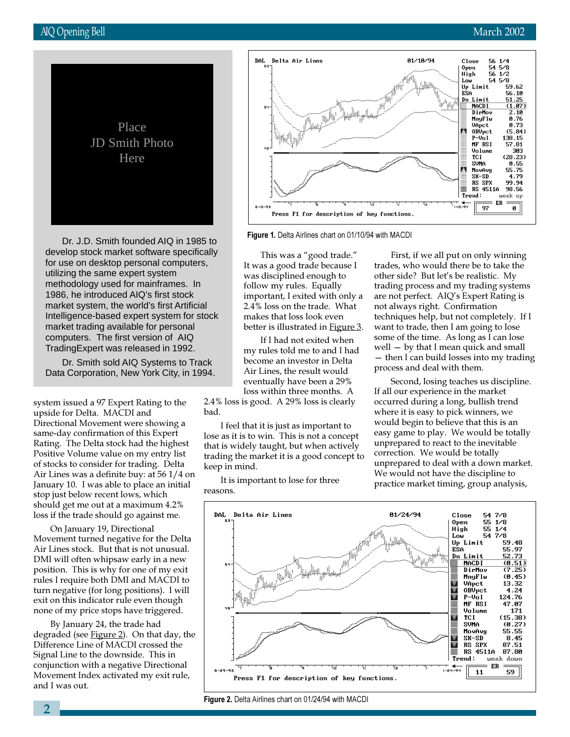

Dr. J.D. Smith founded AIQ in 1985 to develop stock market software specifically for use on desktop personal computers, utilizing the same expert system methodology used for mainframes. In 1986, he introduced AIQ's first stock market system, the world's first Artificial Intelligence-based expert system for stock market trading available for personal computers. The first version of AIQ TradingExpert was released in 1992.

Dr. Smith sold AIQ Systems to Track Data Corporation, New York City, in 1994.

system issued a 97 Expert Rating to the upside for Delta. MACDI and Directional Movement were showing a same-day confirmation of this Expert Rating. The Delta stock had the highest Positive Volume value on my entry list of stocks to consider for trading. Delta Air Lines was a definite buy: at 56 1/4 on January 10. I was able to place an initial stop just below recent lows, which should get me out at a maximum 4.2% loss if the trade should go against me.

On January 19, Directional Movement turned negative for the Delta Air Lines stock. But that is not unusual. DMI will often whipsaw early in a new position. This is why for one of my exit rules I require both DMI and MACDI to turn negative (for long positions). I will exit on this indicator rule even though none of my price stops have triggered.

By January 24, the trade had degraded (see Figure 2). On that day, the Difference Line of MACDI crossed the Signal Line to the downside. This in conjunction with a negative Directional Movement Index activated my exit rule, and I was out.



Figure 1. Delta Airlines chart on 01/10/94 with MACDI

This was a "good trade." It was a good trade because I was disciplined enough to follow my rules. Equally important, I exited with only a 2.4% loss on the trade. What makes that loss look even better is illustrated in Figure 3.

If I had not exited when my rules told me to and I had become an investor in Delta Air Lines, the result would eventually have been a 29% loss within three months. A

2.4% loss is good. A 29% loss is clearly bad.

I feel that it is just as important to lose as it is to win. This is not a concept that is widely taught, but when actively trading the market it is a good concept to keep in mind.

It is important to lose for three reasons.

First, if we all put on only winning trades, who would there be to take the other side? But let's be realistic. My trading process and my trading systems are not perfect. AIQ's Expert Rating is not always right. Confirmation techniques help, but not completely. If I want to trade, then I am going to lose some of the time. As long as I can lose well — by that I mean quick and small — then I can build losses into my trading process and deal with them.

Second, losing teaches us discipline. If all our experience in the market occurred during a long, bullish trend where it is easy to pick winners, we would begin to believe that this is an easy game to play. We would be totally unprepared to react to the inevitable correction. We would be totally unprepared to deal with a down market. We would not have the discipline to practice market timing, group analysis,



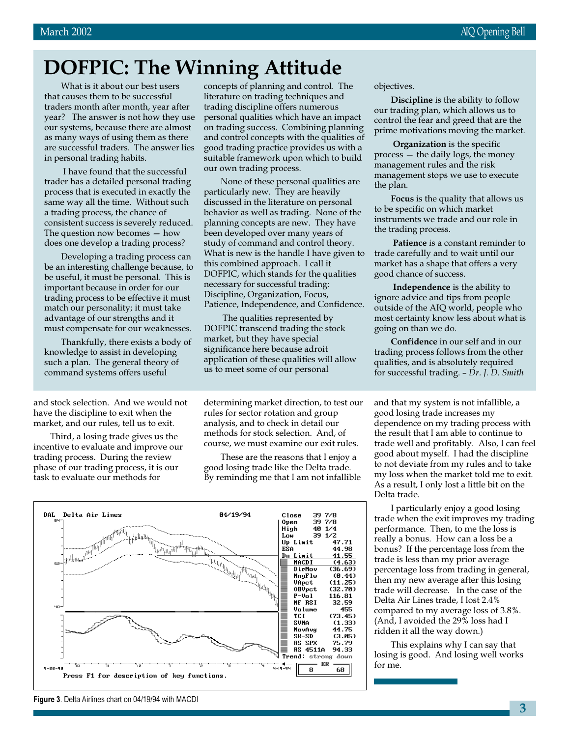# DOFPIC: The Winning Attitude

What is it about our best users that causes them to be successful traders month after month, year after year? The answer is not how they use our systems, because there are almost as many ways of using them as there are successful traders. The answer lies in personal trading habits.

 I have found that the successful trader has a detailed personal trading process that is executed in exactly the same way all the time. Without such a trading process, the chance of consistent success is severely reduced. The question now becomes — how does one develop a trading process?

Developing a trading process can be an interesting challenge because, to be useful, it must be personal. This is important because in order for our trading process to be effective it must match our personality; it must take advantage of our strengths and it must compensate for our weaknesses.

Thankfully, there exists a body of knowledge to assist in developing such a plan. The general theory of command systems offers useful

and stock selection. And we would not have the discipline to exit when the market, and our rules, tell us to exit.

Third, a losing trade gives us the incentive to evaluate and improve our trading process. During the review phase of our trading process, it is our task to evaluate our methods for

concepts of planning and control. The literature on trading techniques and trading discipline offers numerous personal qualities which have an impact on trading success. Combining planning and control concepts with the qualities of good trading practice provides us with a suitable framework upon which to build our own trading process.

None of these personal qualities are particularly new. They are heavily discussed in the literature on personal behavior as well as trading. None of the planning concepts are new. They have been developed over many years of study of command and control theory. What is new is the handle I have given to this combined approach. I call it DOFPIC, which stands for the qualities necessary for successful trading: Discipline, Organization, Focus, Patience, Independence, and Confidence.

 The qualities represented by DOFPIC transcend trading the stock market, but they have special significance here because adroit application of these qualities will allow us to meet some of our personal

determining market direction, to test our rules for sector rotation and group analysis, and to check in detail our methods for stock selection. And, of course, we must examine our exit rules.

These are the reasons that I enjoy a good losing trade like the Delta trade. By reminding me that I am not infallible



objectives.

Discipline is the ability to follow our trading plan, which allows us to control the fear and greed that are the prime motivations moving the market.

Organization is the specific process — the daily logs, the money management rules and the risk management stops we use to execute the plan.

Focus is the quality that allows us to be specific on which market instruments we trade and our role in the trading process.

Patience is a constant reminder to trade carefully and to wait until our market has a shape that offers a very good chance of success.

Independence is the ability to ignore advice and tips from people outside of the AIQ world, people who most certainty know less about what is going on than we do.

Confidence in our self and in our trading process follows from the other qualities, and is absolutely required for successful trading. – Dr. J. D. Smith

and that my system is not infallible, a good losing trade increases my dependence on my trading process with the result that I am able to continue to trade well and profitably. Also, I can feel good about myself. I had the discipline to not deviate from my rules and to take my loss when the market told me to exit. As a result, I only lost a little bit on the Delta trade.

I particularly enjoy a good losing trade when the exit improves my trading performance. Then, to me the loss is really a bonus. How can a loss be a bonus? If the percentage loss from the trade is less than my prior average percentage loss from trading in general, then my new average after this losing trade will decrease. In the case of the Delta Air Lines trade, I lost 2.4% compared to my average loss of 3.8%. (And, I avoided the 29% loss had I ridden it all the way down.)

This explains why I can say that losing is good. And losing well works for me.

Figure 3. Delta Airlines chart on 04/19/94 with MACDI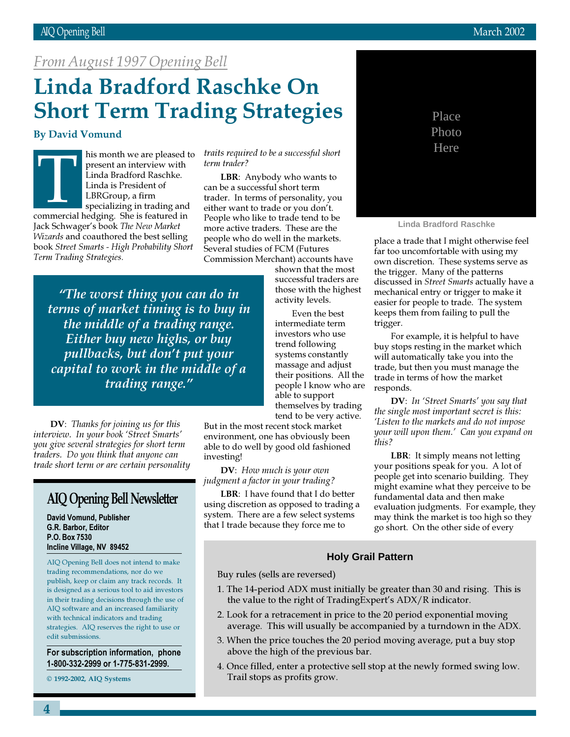## From August 1997 Opening Bell

# Linda Bradford Raschke On Short Term Trading Strategies

#### By David Vomund

his month we are pleased to present an interview with Linda Bradford Raschke. Linda is President of LBRGroup, a firm specializing in trading and nis month we are pleased<br>present an interview with<br>Linda Bradford Raschke.<br>Linda is President of<br>LBRGroup, a firm<br>specializing in trading and<br>commercial hedging. She is featured in Jack Schwager's book The New Market Wizards and coauthored the best selling book Street Smarts - High Probability Short Term Trading Strategies.

traits required to be a successful short term trader?

LBR: Anybody who wants to can be a successful short term trader. In terms of personality, you either want to trade or you don't. People who like to trade tend to be more active traders. These are the people who do well in the markets. Several studies of FCM (Futures Commission Merchant) accounts have

"The worst thing you can do in terms of market timing is to buy in the middle of a trading range. Either buy new highs, or buy pullbacks, but don't put your capital to work in the middle of a trading range."

DV: Thanks for joining us for this interview. In your book 'Street Smarts' you give several strategies for short term traders. Do you think that anyone can trade short term or are certain personality

## AIQ Opening Bell Newsletter

David Vomund, Publisher G.R. Barbor, Editor P.O. Box 7530 Incline Village, NV 89452

AIQ Opening Bell does not intend to make trading recommendations, nor do we publish, keep or claim any track records. It is designed as a serious tool to aid investors in their trading decisions through the use of AIQ software and an increased familiarity with technical indicators and trading strategies. AIQ reserves the right to use or edit submissions.

For subscription information, phone 1-800-332-2999 or 1-775-831-2999.

© 1992-2002, AIQ Systems

shown that the most successful traders are those with the highest activity levels.

Even the best intermediate term investors who use trend following systems constantly massage and adjust their positions. All the people I know who are able to support themselves by trading tend to be very active.

But in the most recent stock market environment, one has obviously been able to do well by good old fashioned investing!

DV: How much is your own judgment a factor in your trading?

LBR: I have found that I do better using discretion as opposed to trading a system. There are a few select systems that I trade because they force me to



**Linda Bradford Raschke**

place a trade that I might otherwise feel far too uncomfortable with using my own discretion. These systems serve as the trigger. Many of the patterns discussed in Street Smarts actually have a mechanical entry or trigger to make it easier for people to trade. The system keeps them from failing to pull the trigger.

For example, it is helpful to have buy stops resting in the market which will automatically take you into the trade, but then you must manage the trade in terms of how the market responds.

DV: In 'Street Smarts' you say that the single most important secret is this: 'Listen to the markets and do not impose your will upon them.' Can you expand on this?

LBR: It simply means not letting your positions speak for you. A lot of people get into scenario building. They might examine what they perceive to be fundamental data and then make evaluation judgments. For example, they may think the market is too high so they go short. On the other side of every

#### **Holy Grail Pattern**

Buy rules (sells are reversed)

- 1. The 14-period ADX must initially be greater than 30 and rising. This is the value to the right of TradingExpert's ADX/R indicator.
- 2. Look for a retracement in price to the 20 period exponential moving average. This will usually be accompanied by a turndown in the ADX.
- 3. When the price touches the 20 period moving average, put a buy stop above the high of the previous bar.
- 4. Once filled, enter a protective sell stop at the newly formed swing low. Trail stops as profits grow.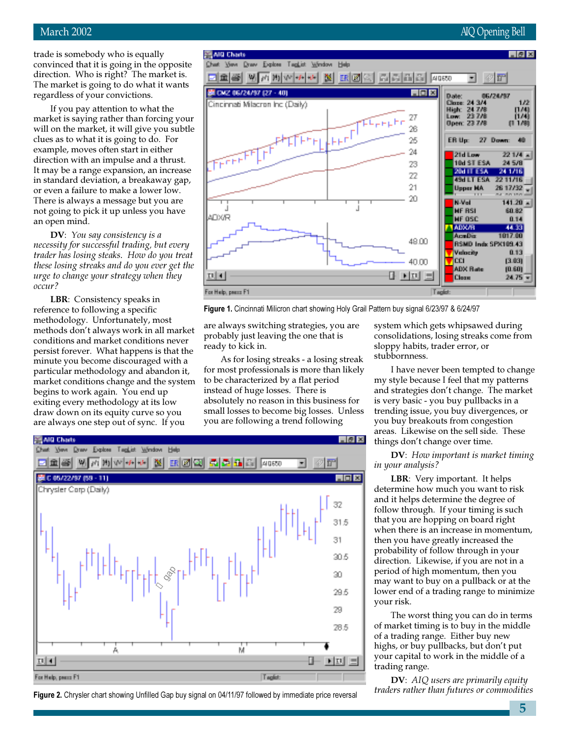#### March 2002 AIQ Opening Bell

trade is somebody who is equally convinced that it is going in the opposite direction. Who is right? The market is. The market is going to do what it wants regardless of your convictions.

If you pay attention to what the market is saying rather than forcing your will on the market, it will give you subtle clues as to what it is going to do. For example, moves often start in either direction with an impulse and a thrust. It may be a range expansion, an increase in standard deviation, a breakaway gap, or even a failure to make a lower low. There is always a message but you are not going to pick it up unless you have an open mind.

DV: You say consistency is a necessity for successful trading, but every trader has losing steaks. How do you treat these losing streaks and do you ever get the urge to change your strategy when they occur?

LBR: Consistency speaks in reference to following a specific methodology. Unfortunately, most methods don't always work in all market conditions and market conditions never persist forever. What happens is that the minute you become discouraged with a particular methodology and abandon it, market conditions change and the system begins to work again. You end up exiting every methodology at its low draw down on its equity curve so you are always one step out of sync. If you



Figure 1. Cincinnati Milicron chart showing Holy Grail Pattern buy signal 6/23/97 & 6/24/97

are always switching strategies, you are probably just leaving the one that is ready to kick in.

As for losing streaks - a losing streak for most professionals is more than likely to be characterized by a flat period instead of huge losses. There is absolutely no reason in this business for small losses to become big losses. Unless you are following a trend following



Figure 2. Chrysler chart showing Unfilled Gap buy signal on 04/11/97 followed by immediate price reversal

system which gets whipsawed during consolidations, losing streaks come from sloppy habits, trader error, or stubbornness.

I have never been tempted to change my style because I feel that my patterns and strategies don't change. The market is very basic - you buy pullbacks in a trending issue, you buy divergences, or you buy breakouts from congestion areas. Likewise on the sell side. These things don't change over time.

DV: How important is market timing in your analysis?

LBR: Very important. It helps determine how much you want to risk and it helps determine the degree of follow through. If your timing is such that you are hopping on board right when there is an increase in momentum, then you have greatly increased the probability of follow through in your direction. Likewise, if you are not in a period of high momentum, then you may want to buy on a pullback or at the lower end of a trading range to minimize your risk.

The worst thing you can do in terms of market timing is to buy in the middle of a trading range. Either buy new highs, or buy pullbacks, but don't put your capital to work in the middle of a trading range.

**DV**: AIQ users are primarily equity traders rather than futures or commodities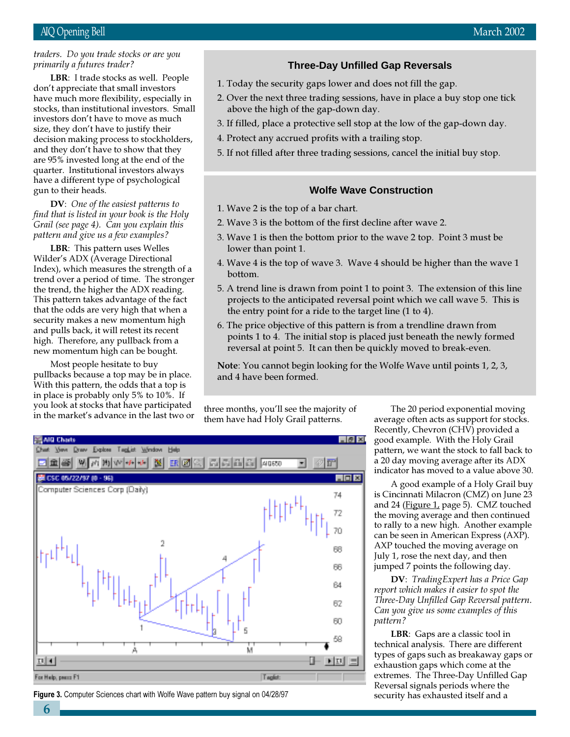#### traders. Do you trade stocks or are you primarily a futures trader?

don't appreciate that small investors<br>have much more flexibility, especiall LBR: I trade stocks as well. People have much more flexibility, especially in stocks, than institutional investors. Small investors don't have to move as much size, they don't have to justify their decision making process to stockholders, and they don't have to show that they are 95% invested long at the end of the quarter. Institutional investors always have a different type of psychological gun to their heads.

DV: One of the easiest patterns to find that is listed in your book is the Holy Grail (see page 4). Can you explain this pattern and give us a few examples?

LBR: This pattern uses Welles Wilder's ADX (Average Directional Index), which measures the strength of a trend over a period of time. The stronger the trend, the higher the ADX reading. This pattern takes advantage of the fact that the odds are very high that when a security makes a new momentum high and pulls back, it will retest its recent high. Therefore, any pullback from a new momentum high can be bought.

Most people hesitate to buy pullbacks because a top may be in place. With this pattern, the odds that a top is in place is probably only 5% to 10%. If you look at stocks that have participated jou look at stocks that have participated three months, you'll see the majority of in the market's advance in the last two or

#### **Three-Day Unfilled Gap Reversals**

- 1. Today the security gaps lower and does not fill the gap.
- 2. Over the next three trading sessions, have in place a buy stop one tick above the high of the gap-down day.
- 3. If filled, place a protective sell stop at the low of the gap-down day.
- 4. Protect any accrued profits with a trailing stop.
- 5. If not filled after three trading sessions, cancel the initial buy stop.

#### **Wolfe Wave Construction**

- 1. Wave 2 is the top of a bar chart.
- 2. Wave 3 is the bottom of the first decline after wave 2.
- 3. Wave 1 is then the bottom prior to the wave 2 top. Point 3 must be lower than point 1.
- 4. Wave 4 is the top of wave 3. Wave 4 should be higher than the wave 1 bottom.
- 5. A trend line is drawn from point 1 to point 3. The extension of this line projects to the anticipated reversal point which we call wave 5. This is the entry point for a ride to the target line (1 to 4).
- 6. The price objective of this pattern is from a trendline drawn from points 1 to 4. The initial stop is placed just beneath the newly formed reversal at point 5. It can then be quickly moved to break-even.

Note: You cannot begin looking for the Wolfe Wave until points 1, 2, 3, and 4 have been formed.

them have had Holy Grail patterns.



Figure 3. Computer Sciences chart with Wolfe Wave pattern buy signal on 04/28/97 security has exhausted itself and a

The 20 period exponential moving average often acts as support for stocks. Recently, Chevron (CHV) provided a good example. With the Holy Grail pattern, we want the stock to fall back to a 20 day moving average after its ADX indicator has moved to a value above 30.

A good example of a Holy Grail buy is Cincinnati Milacron (CMZ) on June 23 and 24 (Figure 1, page 5). CMZ touched the moving average and then continued to rally to a new high. Another example can be seen in American Express (AXP). AXP touched the moving average on July 1, rose the next day, and then jumped 7 points the following day.

DV: TradingExpert has a Price Gap report which makes it easier to spot the Three-Day Unfilled Gap Reversal pattern. Can you give us some examples of this pattern?

LBR: Gaps are a classic tool in technical analysis. There are different types of gaps such as breakaway gaps or exhaustion gaps which come at the extremes. The Three-Day Unfilled Gap Reversal signals periods where the

6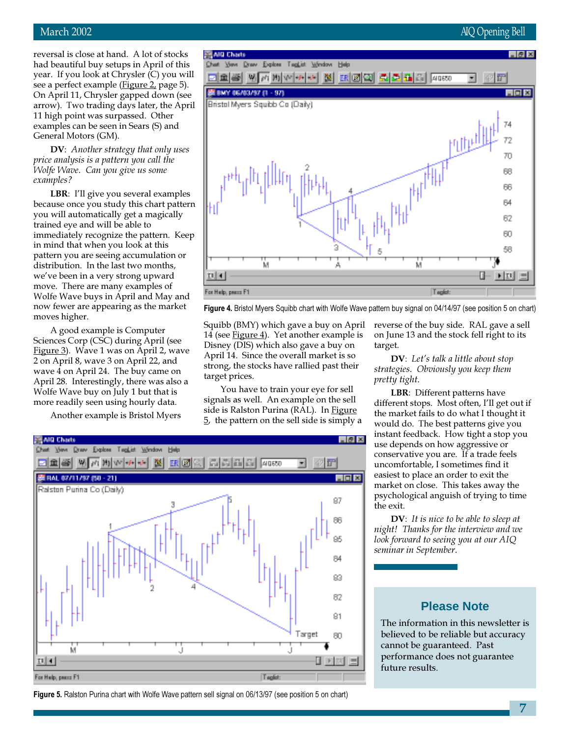#### March 2002 **AIQ Opening Bell**

reversal is close at hand. A lot of stocks had beautiful buy setups in April of this year. If you look at Chrysler (C) you will see a perfect example (*Figure 2*, page 5). On April 11, Chrysler gapped down (see arrow). Two trading days later, the April 11 high point was surpassed. Other examples can be seen in Sears (S) and General Motors (GM).

DV: Another strategy that only uses price analysis is a pattern you call the Wolfe Wave. Can you give us some examples?

LBR: I'll give you several examples because once you study this chart pattern you will automatically get a magically trained eye and will be able to immediately recognize the pattern. Keep in mind that when you look at this pattern you are seeing accumulation or distribution. In the last two months, we've been in a very strong upward move. There are many examples of Wolfe Wave buys in April and May and now fewer are appearing as the market moves higher.

A good example is Computer Sciences Corp (CSC) during April (see Figure 3). Wave 1 was on April 2, wave 2 on April 8, wave 3 on April 22, and wave 4 on April 24. The buy came on April 28. Interestingly, there was also a Wolfe Wave buy on July 1 but that is more readily seen using hourly data.

Another example is Bristol Myers



Figure 4. Bristol Myers Squibb chart with Wolfe Wave pattern buy signal on 04/14/97 (see position 5 on chart)

Squibb (BMY) which gave a buy on April 14 (see Figure  $4$ ). Yet another example is Disney (DIS) which also gave a buy on April 14. Since the overall market is so strong, the stocks have rallied past their target prices.

You have to train your eye for sell signals as well. An example on the sell side is Ralston Purina (RAL). In Figure 5, the pattern on the sell side is simply a reverse of the buy side. RAL gave a sell on June 13 and the stock fell right to its target.

DV: Let's talk a little about stop strategies. Obviously you keep them pretty tight.

LBR: Different patterns have different stops. Most often, I'll get out if the market fails to do what I thought it would do. The best patterns give you instant feedback. How tight a stop you use depends on how aggressive or conservative you are. If a trade feels uncomfortable, I sometimes find it easiest to place an order to exit the market on close. This takes away the psychological anguish of trying to time the exit.

DV: It is nice to be able to sleep at night! Thanks for the interview and we look forward to seeing you at our AIQ seminar in September.

#### **Please Note**

The information in this newsletter is believed to be reliable but accuracy cannot be guaranteed. Past performance does not guarantee future results.



Figure 5. Ralston Purina chart with Wolfe Wave pattern sell signal on 06/13/97 (see position 5 on chart)